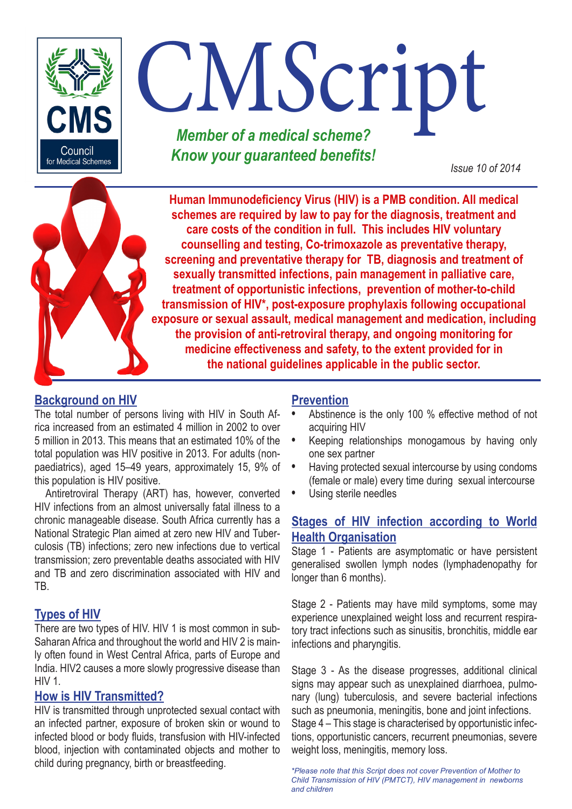

# CM*S*cript *Member of a medical scheme?*

*Know your guaranteed benefits! Issue 10 of 2014*

**Human Immunodeficiency Virus (HIV) is a PMB condition. All medical schemes are required by law to pay for the diagnosis, treatment and care costs of the condition in full. This includes HIV voluntary counselling and testing, Co-trimoxazole as preventative therapy, screening and preventative therapy for TB, diagnosis and treatment of sexually transmitted infections, pain management in palliative care, treatment of opportunistic infections, prevention of mother-to-child transmission of HIV\*, post-exposure prophylaxis following occupational exposure or sexual assault, medical management and medication, including the provision of anti-retroviral therapy, and ongoing monitoring for medicine effectiveness and safety, to the extent provided for in the national guidelines applicable in the public sector.** 

# **Background on HIV**

The total number of persons living with HIV in South Africa increased from an estimated 4 million in 2002 to over 5 million in 2013. This means that an estimated 10% of the total population was HIV positive in 2013. For adults (nonpaediatrics), aged 15–49 years, approximately 15, 9% of this population is HIV positive.

Antiretroviral Therapy (ART) has, however, converted HIV infections from an almost universally fatal illness to a chronic manageable disease. South Africa currently has a National Strategic Plan aimed at zero new HIV and Tuberculosis (TB) infections; zero new infections due to vertical transmission; zero preventable deaths associated with HIV and TB and zero discrimination associated with HIV and TB.

# **Types of HIV**

There are two types of HIV. HIV 1 is most common in sub-Saharan Africa and throughout the world and HIV 2 is mainly often found in West Central Africa, parts of Europe and India. HIV2 causes a more slowly progressive disease than HIV 1.

## **How is HIV Transmitted?**

HIV is transmitted through unprotected sexual contact with an infected partner, exposure of broken skin or wound to infected blood or body fluids, transfusion with HIV-infected blood, injection with contaminated objects and mother to child during pregnancy, birth or breastfeeding.

# **Prevention**

- **•** Abstinence is the only 100 % effective method of not acquiring HIV
- **•** Keeping relationships monogamous by having only one sex partner
- **•** Having protected sexual intercourse by using condoms (female or male) every time during sexual intercourse
- **•** Using sterile needles

## **Stages of HIV infection according to World Health Organisation**

Stage 1 - Patients are asymptomatic or have persistent generalised swollen lymph nodes (lymphadenopathy for longer than 6 months).

Stage 2 - Patients may have mild symptoms, some may experience unexplained weight loss and recurrent respiratory tract infections such as sinusitis, bronchitis, middle ear infections and pharyngitis.

Stage 3 - As the disease progresses, additional clinical signs may appear such as unexplained diarrhoea, pulmonary (lung) tuberculosis, and severe bacterial infections such as pneumonia, meningitis, bone and joint infections. Stage 4 – This stage is characterised by opportunistic infections, opportunistic cancers, recurrent pneumonias, severe weight loss, meningitis, memory loss.

*\*Please note that this Script does not cover Prevention of Mother to Child Transmission of HIV (PMTCT), HIV management in newborns and children*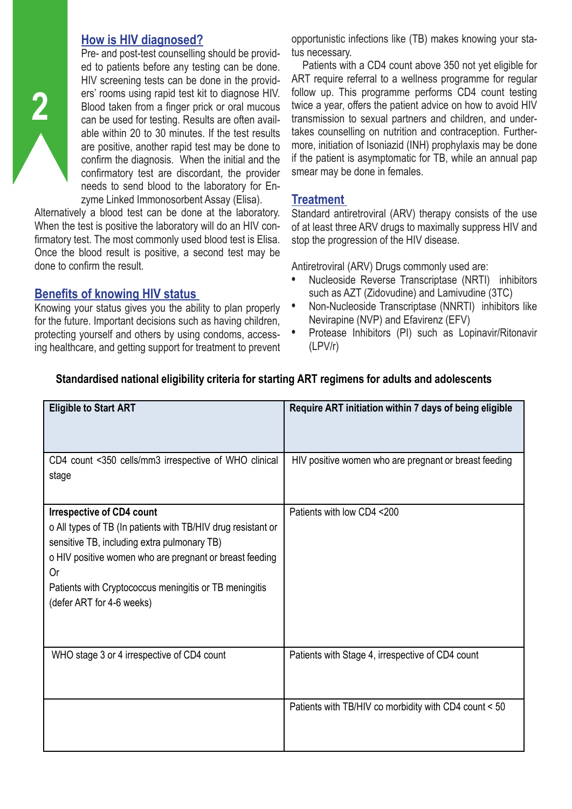## **How is HIV diagnosed?**

Pre- and post-test counselling should be provided to patients before any testing can be done. HIV screening tests can be done in the providers' rooms using rapid test kit to diagnose HIV. Blood taken from a finger prick or oral mucous can be used for testing. Results are often available within 20 to 30 minutes. If the test results are positive, another rapid test may be done to confirm the diagnosis. When the initial and the confirmatory test are discordant, the provider needs to send blood to the laboratory for Enzyme Linked Immonosorbent Assay (Elisa).

Alternatively a blood test can be done at the laboratory. When the test is positive the laboratory will do an HIV confirmatory test. The most commonly used blood test is Elisa. Once the blood result is positive, a second test may be done to confirm the result.

## **Benefits of knowing HIV status**

**2**

Knowing your status gives you the ability to plan properly for the future. Important decisions such as having children, protecting yourself and others by using condoms, accessing healthcare, and getting support for treatment to prevent opportunistic infections like (TB) makes knowing your status necessary.

Patients with a CD4 count above 350 not yet eligible for ART require referral to a wellness programme for regular follow up. This programme performs CD4 count testing twice a year, offers the patient advice on how to avoid HIV transmission to sexual partners and children, and undertakes counselling on nutrition and contraception. Furthermore, initiation of Isoniazid (INH) prophylaxis may be done if the patient is asymptomatic for TB, while an annual pap smear may be done in females.

## **Treatment**

Standard antiretroviral (ARV) therapy consists of the use of at least three ARV drugs to maximally suppress HIV and stop the progression of the HIV disease.

Antiretroviral (ARV) Drugs commonly used are:

- **•** Nucleoside Reverse Transcriptase (NRTI) inhibitors such as AZT (Zidovudine) and Lamivudine (3TC)
- **•** Non-Nucleoside Transcriptase (NNRTI) inhibitors like Nevirapine (NVP) and Efavirenz (EFV)
- **•** Protease Inhibitors (PI) such as Lopinavir/Ritonavir (LPV/r)

| <b>Eligible to Start ART</b>                                                                                                                                                                                                                                                                            | Require ART initiation within 7 days of being eligible |
|---------------------------------------------------------------------------------------------------------------------------------------------------------------------------------------------------------------------------------------------------------------------------------------------------------|--------------------------------------------------------|
| CD4 count <350 cells/mm3 irrespective of WHO clinical<br>stage                                                                                                                                                                                                                                          | HIV positive women who are pregnant or breast feeding  |
| <b>Irrespective of CD4 count</b><br>o All types of TB (In patients with TB/HIV drug resistant or<br>sensitive TB, including extra pulmonary TB)<br>o HIV positive women who are pregnant or breast feeding<br>0r<br>Patients with Cryptococcus meningitis or TB meningitis<br>(defer ART for 4-6 weeks) | Patients with low CD4 <200                             |
| WHO stage 3 or 4 irrespective of CD4 count                                                                                                                                                                                                                                                              | Patients with Stage 4, irrespective of CD4 count       |
|                                                                                                                                                                                                                                                                                                         | Patients with TB/HIV co morbidity with CD4 count < 50  |

## **Standardised national eligibility criteria for starting ART regimens for adults and adolescents**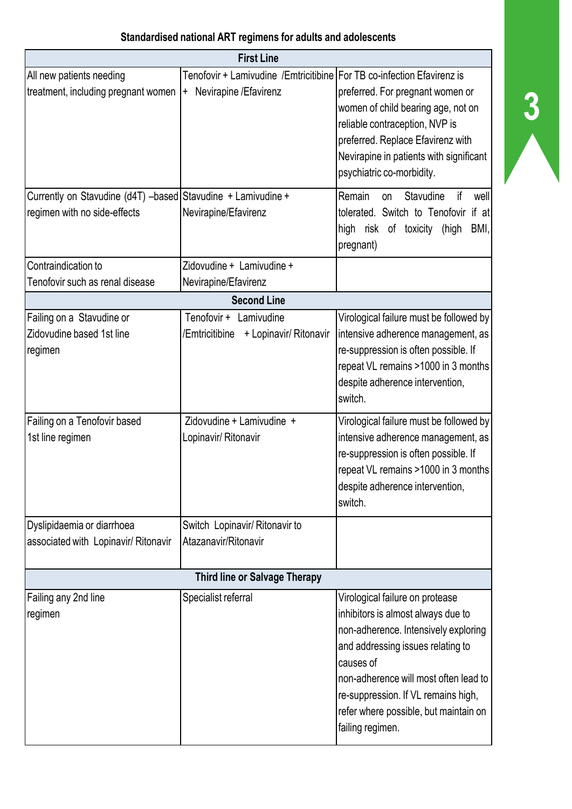| <b>First Line</b>                                                                            |                                                                                                    |                                                                                                                                                                                                                                                                                                              |  |  |  |  |  |
|----------------------------------------------------------------------------------------------|----------------------------------------------------------------------------------------------------|--------------------------------------------------------------------------------------------------------------------------------------------------------------------------------------------------------------------------------------------------------------------------------------------------------------|--|--|--|--|--|
| All new patients needing<br>treatment, including pregnant women                              | Tenofovir + Lamivudine /Emtricitibine For TB co-infection Efavirenz is<br>+ Nevirapine / Efavirenz | preferred. For pregnant women or<br>women of child bearing age, not on<br>reliable contraception, NVP is<br>preferred. Replace Efavirenz with<br>Nevirapine in patients with significant<br>psychiatric co-morbidity.                                                                                        |  |  |  |  |  |
| Currently on Stavudine (d4T) -based Stavudine + Lamivudine +<br>regimen with no side-effects | Nevirapine/Efavirenz                                                                               | Remain<br>Stavudine<br>if<br>well<br>on<br>tolerated. Switch to Tenofovir<br>if at<br>BMI,<br>high risk of toxicity<br>(high<br>pregnant)                                                                                                                                                                    |  |  |  |  |  |
| Contraindication to                                                                          | Zidovudine + Lamivudine +                                                                          |                                                                                                                                                                                                                                                                                                              |  |  |  |  |  |
| Tenofovir such as renal disease                                                              | Nevirapine/Efavirenz                                                                               |                                                                                                                                                                                                                                                                                                              |  |  |  |  |  |
|                                                                                              | <b>Second Line</b>                                                                                 |                                                                                                                                                                                                                                                                                                              |  |  |  |  |  |
| Failing on a Stavudine or<br>Zidovudine based 1st line<br>regimen                            | Tenofovir + Lamivudine<br>/Emtricitibine<br>+ Lopinavir/ Ritonavir                                 | Virological failure must be followed by<br>intensive adherence management, as<br>re-suppression is often possible. If<br>repeat VL remains >1000 in 3 months<br>despite adherence intervention,<br>switch.                                                                                                   |  |  |  |  |  |
| Failing on a Tenofovir based<br>1st line regimen                                             | Zidovudine + Lamivudine +<br>Lopinavir/ Ritonavir                                                  | Virological failure must be followed by<br>intensive adherence management, as<br>re-suppression is often possible. If<br>repeat VL remains >1000 in 3 months<br>despite adherence intervention,<br>switch.                                                                                                   |  |  |  |  |  |
| Dyslipidaemia or diarrhoea                                                                   | Switch Lopinavir/ Ritonavir to                                                                     |                                                                                                                                                                                                                                                                                                              |  |  |  |  |  |
| associated with Lopinavir/ Ritonavir                                                         | Atazanavir/Ritonavir                                                                               |                                                                                                                                                                                                                                                                                                              |  |  |  |  |  |
| <b>Third line or Salvage Therapy</b>                                                         |                                                                                                    |                                                                                                                                                                                                                                                                                                              |  |  |  |  |  |
| Failing any 2nd line<br>regimen                                                              | Specialist referral                                                                                | Virological failure on protease<br>inhibitors is almost always due to<br>non-adherence. Intensively exploring<br>and addressing issues relating to<br>causes of<br>non-adherence will most often lead to<br>re-suppression. If VL remains high,<br>refer where possible, but maintain on<br>failing regimen. |  |  |  |  |  |

**3**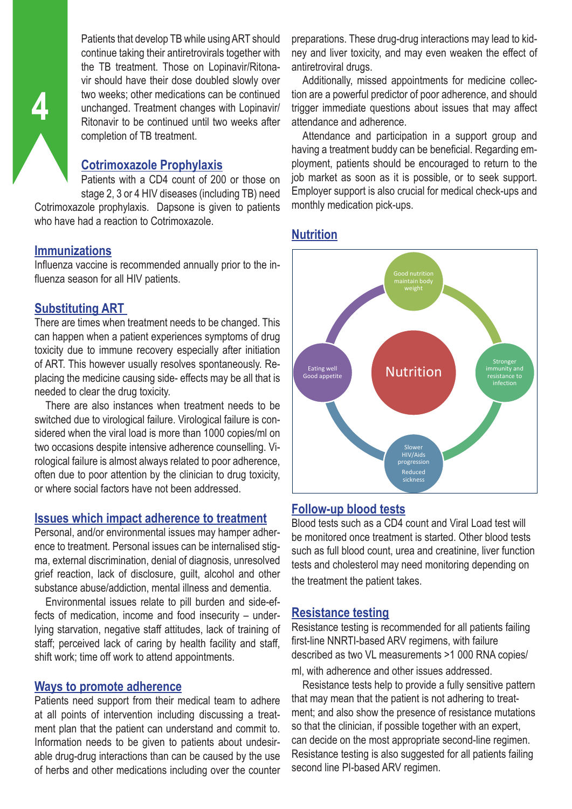Patients that develop TB while using ART should continue taking their antiretrovirals together with the TB treatment. Those on Lopinavir/Ritonavir should have their dose doubled slowly over two weeks; other medications can be continued unchanged. Treatment changes with Lopinavir/ Ritonavir to be continued until two weeks after completion of TB treatment.

## **Cotrimoxazole Prophylaxis**

Patients with a CD4 count of 200 or those on stage 2, 3 or 4 HIV diseases (including TB) need Cotrimoxazole prophylaxis. Dapsone is given to patients who have had a reaction to Cotrimoxazole.

#### **Immunizations**

Influenza vaccine is recommended annually prior to the influenza season for all HIV patients.

#### **Substituting ART**

There are times when treatment needs to be changed. This can happen when a patient experiences symptoms of drug toxicity due to immune recovery especially after initiation of ART. This however usually resolves spontaneously. Replacing the medicine causing side- effects may be all that is needed to clear the drug toxicity.

There are also instances when treatment needs to be switched due to virological failure. Virological failure is considered when the viral load is more than 1000 copies/ml on two occasions despite intensive adherence counselling. Virological failure is almost always related to poor adherence, often due to poor attention by the clinician to drug toxicity, or where social factors have not been addressed.

#### **Issues which impact adherence to treatment**

Personal, and/or environmental issues may hamper adherence to treatment. Personal issues can be internalised stigma, external discrimination, denial of diagnosis, unresolved grief reaction, lack of disclosure, guilt, alcohol and other substance abuse/addiction, mental illness and dementia.

Environmental issues relate to pill burden and side-effects of medication, income and food insecurity – underlying starvation, negative staff attitudes, lack of training of staff; perceived lack of caring by health facility and staff, shift work; time off work to attend appointments.

#### **Ways to promote adherence**

Patients need support from their medical team to adhere at all points of intervention including discussing a treatment plan that the patient can understand and commit to. Information needs to be given to patients about undesirable drug-drug interactions than can be caused by the use of herbs and other medications including over the counter preparations. These drug-drug interactions may lead to kidney and liver toxicity, and may even weaken the effect of antiretroviral drugs.

Additionally, missed appointments for medicine collection are a powerful predictor of poor adherence, and should trigger immediate questions about issues that may affect attendance and adherence.

Attendance and participation in a support group and having a treatment buddy can be beneficial. Regarding employment, patients should be encouraged to return to the job market as soon as it is possible, or to seek support. Employer support is also crucial for medical check-ups and monthly medication pick-ups.

#### **Nutrition**



#### **Follow-up blood tests**

Blood tests such as a CD4 count and Viral Load test will be monitored once treatment is started. Other blood tests such as full blood count, urea and creatinine, liver function tests and cholesterol may need monitoring depending on the treatment the patient takes.

#### **Resistance testing**

Resistance testing is recommended for all patients failing first-line NNRTI-based ARV regimens, with failure described as two VL measurements >1 000 RNA copies/

ml, with adherence and other issues addressed.

Resistance tests help to provide a fully sensitive pattern that may mean that the patient is not adhering to treatment; and also show the presence of resistance mutations so that the clinician, if possible together with an expert, can decide on the most appropriate second-line regimen. Resistance testing is also suggested for all patients failing second line PI-based ARV regimen.